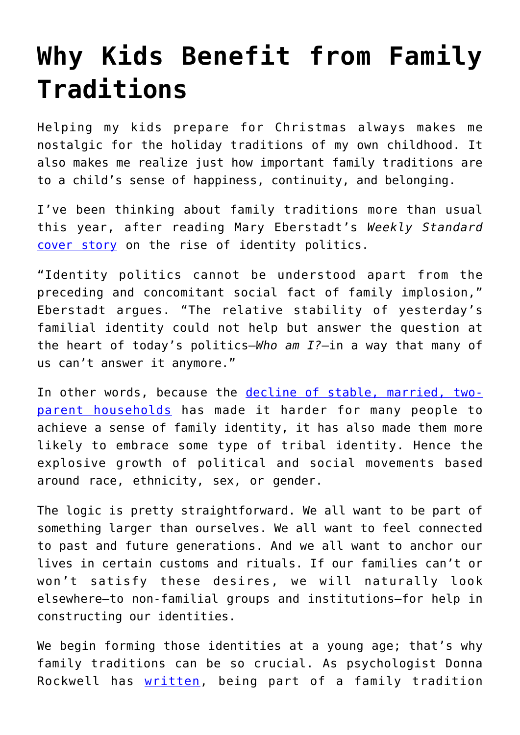## **[Why Kids Benefit from Family](https://intellectualtakeout.org/2017/12/why-kids-benefit-from-family-traditions/) [Traditions](https://intellectualtakeout.org/2017/12/why-kids-benefit-from-family-traditions/)**

Helping my kids prepare for Christmas always makes me nostalgic for the holiday traditions of my own childhood. It also makes me realize just how important family traditions are to a child's sense of happiness, continuity, and belonging.

I've been thinking about family traditions more than usual this year, after reading Mary Eberstadt's *Weekly Standard* [cover story](http://www.weeklystandard.com/the-primal-scream-of-identity-politics/article/2010234) on the rise of identity politics.

"Identity politics cannot be understood apart from the preceding and concomitant social fact of family implosion," Eberstadt argues. "The relative stability of yesterday's familial identity could not help but answer the question at the heart of today's politics—*Who am I?*—in a way that many of us can't answer it anymore."

In other words, because the [decline of stable, married, two](http://www.pewsocialtrends.org/2015/12/17/1-the-american-family-today/)[parent households](http://www.pewsocialtrends.org/2015/12/17/1-the-american-family-today/) has made it harder for many people to achieve a sense of family identity, it has also made them more likely to embrace some type of tribal identity. Hence the explosive growth of political and social movements based around race, ethnicity, sex, or gender.

The logic is pretty straightforward. We all want to be part of something larger than ourselves. We all want to feel connected to past and future generations. And we all want to anchor our lives in certain customs and rituals. If our families can't or won't satisfy these desires, we will naturally look elsewhere—to non-familial groups and institutions—for help in constructing our identities.

We begin forming those identities at a young age; that's why family traditions can be so crucial. As psychologist Donna Rockwell has [written](https://www.huffingtonpost.com/donna-rockwell-psyd/mindfulness-in-everyday-l_6_b_6307754.html), being part of a family tradition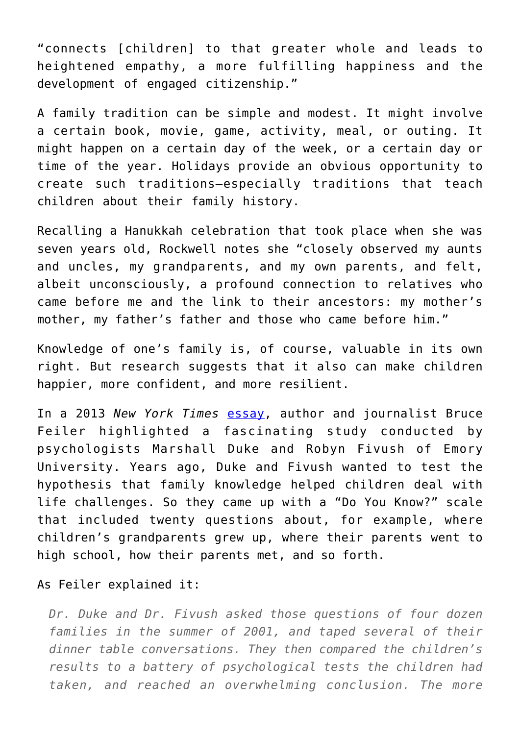"connects [children] to that greater whole and leads to heightened empathy, a more fulfilling happiness and the development of engaged citizenship."

A family tradition can be simple and modest. It might involve a certain book, movie, game, activity, meal, or outing. It might happen on a certain day of the week, or a certain day or time of the year. Holidays provide an obvious opportunity to create such traditions—especially traditions that teach children about their family history.

Recalling a Hanukkah celebration that took place when she was seven years old, Rockwell notes she "closely observed my aunts and uncles, my grandparents, and my own parents, and felt, albeit unconsciously, a profound connection to relatives who came before me and the link to their ancestors: my mother's mother, my father's father and those who came before him."

Knowledge of one's family is, of course, valuable in its own right. But research suggests that it also can make children happier, more confident, and more resilient.

In a 2013 *New York Times* [essay,](http://www.nytimes.com/2013/03/17/fashion/the-family-stories-that-bind-us-this-life.html) author and journalist Bruce Feiler highlighted a fascinating study conducted by psychologists Marshall Duke and Robyn Fivush of Emory University. Years ago, Duke and Fivush wanted to test the hypothesis that family knowledge helped children deal with life challenges. So they came up with a "Do You Know?" scale that included twenty questions about, for example, where children's grandparents grew up, where their parents went to high school, how their parents met, and so forth.

## As Feiler explained it:

*Dr. Duke and Dr. Fivush asked those questions of four dozen families in the summer of 2001, and taped several of their dinner table conversations. They then compared the children's results to a battery of psychological tests the children had taken, and reached an overwhelming conclusion. The more*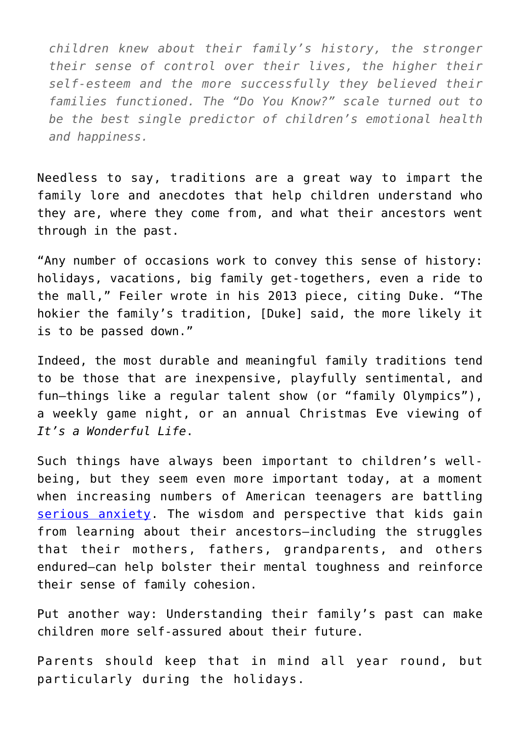*children knew about their family's history, the stronger their sense of control over their lives, the higher their self-esteem and the more successfully they believed their families functioned. The "Do You Know?" scale turned out to be the best single predictor of children's emotional health and happiness.*

Needless to say, traditions are a great way to impart the family lore and anecdotes that help children understand who they are, where they come from, and what their ancestors went through in the past.

"Any number of occasions work to convey this sense of history: holidays, vacations, big family get-togethers, even a ride to the mall," Feiler wrote in his 2013 piece, citing Duke. "The hokier the family's tradition, [Duke] said, the more likely it is to be passed down."

Indeed, the most durable and meaningful family traditions tend to be those that are inexpensive, playfully sentimental, and fun—things like a regular talent show (or "family Olympics"), a weekly game night, or an annual Christmas Eve viewing of *It's a Wonderful Life*.

Such things have always been important to children's wellbeing, but they seem even more important today, at a moment when increasing numbers of American teenagers are battling [serious anxiety](https://www.nytimes.com/2017/10/11/magazine/why-are-more-american-teenagers-than-ever-suffering-from-severe-anxiety.html). The wisdom and perspective that kids gain from learning about their ancestors—including the struggles that their mothers, fathers, grandparents, and others endured—can help bolster their mental toughness and reinforce their sense of family cohesion.

Put another way: Understanding their family's past can make children more self-assured about their future.

Parents should keep that in mind all year round, but particularly during the holidays.